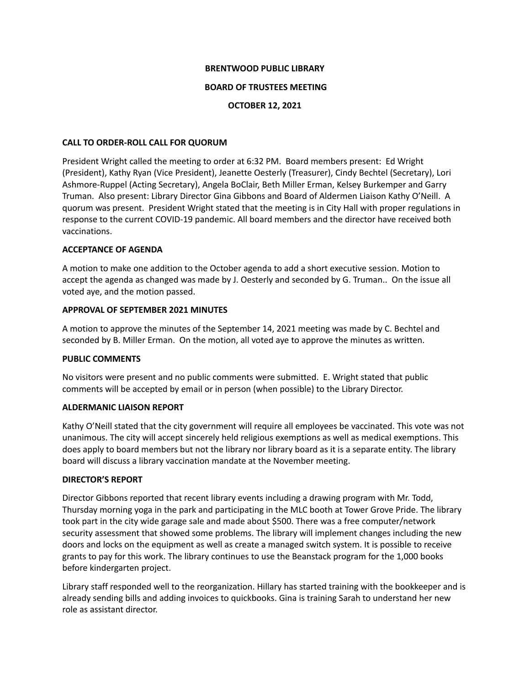### **BRENTWOOD PUBLIC LIBRARY**

## **BOARD OF TRUSTEES MEETING**

## **OCTOBER 12, 2021**

## **CALL TO ORDER-ROLL CALL FOR QUORUM**

President Wright called the meeting to order at 6:32 PM. Board members present: Ed Wright (President), Kathy Ryan (Vice President), Jeanette Oesterly (Treasurer), Cindy Bechtel (Secretary), Lori Ashmore-Ruppel (Acting Secretary), Angela BoClair, Beth Miller Erman, Kelsey Burkemper and Garry Truman. Also present: Library Director Gina Gibbons and Board of Aldermen Liaison Kathy O'Neill. A quorum was present. President Wright stated that the meeting is in City Hall with proper regulations in response to the current COVID-19 pandemic. All board members and the director have received both vaccinations.

## **ACCEPTANCE OF AGENDA**

A motion to make one addition to the October agenda to add a short executive session. Motion to accept the agenda as changed was made by J. Oesterly and seconded by G. Truman.. On the issue all voted aye, and the motion passed.

## **APPROVAL OF SEPTEMBER 2021 MINUTES**

A motion to approve the minutes of the September 14, 2021 meeting was made by C. Bechtel and seconded by B. Miller Erman. On the motion, all voted aye to approve the minutes as written.

# **PUBLIC COMMENTS**

No visitors were present and no public comments were submitted. E. Wright stated that public comments will be accepted by email or in person (when possible) to the Library Director.

# **ALDERMANIC LIAISON REPORT**

Kathy O'Neill stated that the city government will require all employees be vaccinated. This vote was not unanimous. The city will accept sincerely held religious exemptions as well as medical exemptions. This does apply to board members but not the library nor library board as it is a separate entity. The library board will discuss a library vaccination mandate at the November meeting.

#### **DIRECTOR'S REPORT**

Director Gibbons reported that recent library events including a drawing program with Mr. Todd, Thursday morning yoga in the park and participating in the MLC booth at Tower Grove Pride. The library took part in the city wide garage sale and made about \$500. There was a free computer/network security assessment that showed some problems. The library will implement changes including the new doors and locks on the equipment as well as create a managed switch system. It is possible to receive grants to pay for this work. The library continues to use the Beanstack program for the 1,000 books before kindergarten project.

Library staff responded well to the reorganization. Hillary has started training with the bookkeeper and is already sending bills and adding invoices to quickbooks. Gina is training Sarah to understand her new role as assistant director.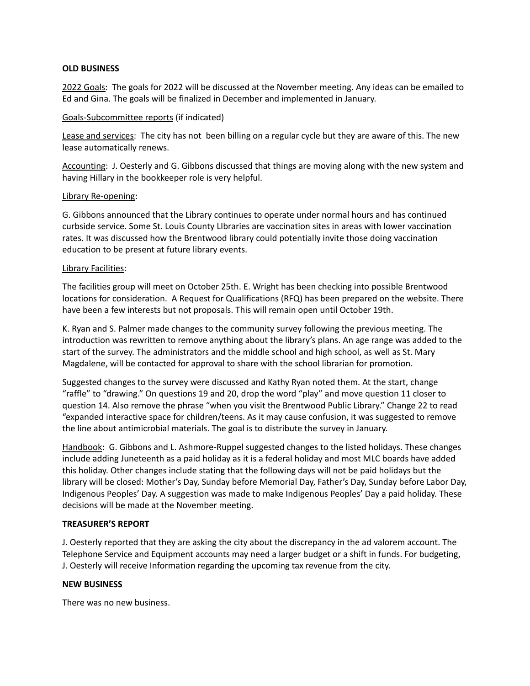#### **OLD BUSINESS**

2022 Goals: The goals for 2022 will be discussed at the November meeting. Any ideas can be emailed to Ed and Gina. The goals will be finalized in December and implemented in January.

## Goals-Subcommittee reports (if indicated)

Lease and services: The city has not been billing on a regular cycle but they are aware of this. The new lease automatically renews.

Accounting: J. Oesterly and G. Gibbons discussed that things are moving along with the new system and having Hillary in the bookkeeper role is very helpful.

#### Library Re-opening:

G. Gibbons announced that the Library continues to operate under normal hours and has continued curbside service. Some St. Louis County LIbraries are vaccination sites in areas with lower vaccination rates. It was discussed how the Brentwood library could potentially invite those doing vaccination education to be present at future library events.

#### Library Facilities:

The facilities group will meet on October 25th. E. Wright has been checking into possible Brentwood locations for consideration. A Request for Qualifications (RFQ) has been prepared on the website. There have been a few interests but not proposals. This will remain open until October 19th.

K. Ryan and S. Palmer made changes to the community survey following the previous meeting. The introduction was rewritten to remove anything about the library's plans. An age range was added to the start of the survey. The administrators and the middle school and high school, as well as St. Mary Magdalene, will be contacted for approval to share with the school librarian for promotion.

Suggested changes to the survey were discussed and Kathy Ryan noted them. At the start, change "raffle" to "drawing." On questions 19 and 20, drop the word "play" and move question 11 closer to question 14. Also remove the phrase "when you visit the Brentwood Public Library." Change 22 to read "expanded interactive space for children/teens. As it may cause confusion, it was suggested to remove the line about antimicrobial materials. The goal is to distribute the survey in January.

Handbook: G. Gibbons and L. Ashmore-Ruppel suggested changes to the listed holidays. These changes include adding Juneteenth as a paid holiday as it is a federal holiday and most MLC boards have added this holiday. Other changes include stating that the following days will not be paid holidays but the library will be closed: Mother's Day, Sunday before Memorial Day, Father's Day, Sunday before Labor Day, Indigenous Peoples' Day. A suggestion was made to make Indigenous Peoples' Day a paid holiday. These decisions will be made at the November meeting.

#### **TREASURER'S REPORT**

J. Oesterly reported that they are asking the city about the discrepancy in the ad valorem account. The Telephone Service and Equipment accounts may need a larger budget or a shift in funds. For budgeting, J. Oesterly will receive Information regarding the upcoming tax revenue from the city.

#### **NEW BUSINESS**

There was no new business.